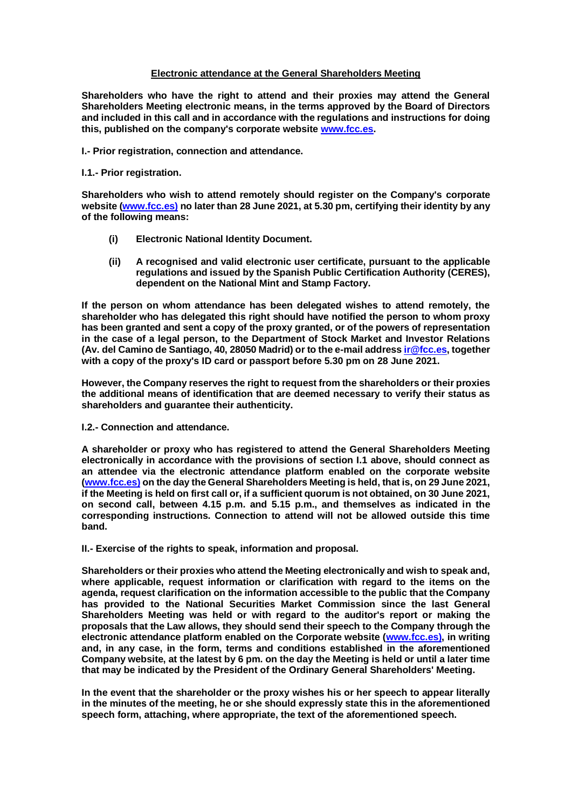# **Electronic attendance at the General Shareholders Meeting**

**Shareholders who have the right to attend and their proxies may attend the General Shareholders Meeting electronic means, in the terms approved by the Board of Directors and included in this call and in accordance with the regulations and instructions for doing this, published on the company's corporate website [www.fcc.es.](http://www.fcc.es/)**

**I.- Prior registration, connection and attendance.**

# **I.1.- Prior registration.**

**Shareholders who wish to attend remotely should register on the Company's corporate website [\(www.fcc.es\)](http://www.fcc.es/) no later than 28 June 2021, at 5.30 pm, certifying their identity by any of the following means:**

- **(i) Electronic National Identity Document.**
- **(ii) A recognised and valid electronic user certificate, pursuant to the applicable regulations and issued by the Spanish Public Certification Authority (CERES), dependent on the National Mint and Stamp Factory.**

**If the person on whom attendance has been delegated wishes to attend remotely, the shareholder who has delegated this right should have notified the person to whom proxy has been granted and sent a copy of the proxy granted, or of the powers of representation in the case of a legal person, to the Department of Stock Market and Investor Relations (Av. del Camino de Santiago, 40, 28050 Madrid) or to the e-mail addres[s ir@fcc.es,](mailto:ir@fcc.es) together with a copy of the proxy's ID card or passport before 5.30 pm on 28 June 2021.** 

**However, the Company reserves the right to request from the shareholders or their proxies the additional means of identification that are deemed necessary to verify their status as shareholders and guarantee their authenticity.**

**I.2.- Connection and attendance.**

**A shareholder or proxy who has registered to attend the General Shareholders Meeting electronically in accordance with the provisions of section I.1 above, should connect as an attendee via the electronic attendance platform enabled on the corporate website [\(www.fcc.es\)](http://www.fcc.es/) on the day the General Shareholders Meeting is held, that is, on 29 June 2021, if the Meeting is held on first call or, if a sufficient quorum is not obtained, on 30 June 2021, on second call, between 4.15 p.m. and 5.15 p.m., and themselves as indicated in the corresponding instructions. Connection to attend will not be allowed outside this time band.**

**II.- Exercise of the rights to speak, information and proposal.**

**Shareholders or their proxies who attend the Meeting electronically and wish to speak and, where applicable, request information or clarification with regard to the items on the agenda, request clarification on the information accessible to the public that the Company has provided to the National Securities Market Commission since the last General Shareholders Meeting was held or with regard to the auditor's report or making the proposals that the Law allows, they should send their speech to the Company through the electronic attendance platform enabled on the Corporate website [\(www.fcc.es\)](http://www.fcc.es/), in writing and, in any case, in the form, terms and conditions established in the aforementioned Company website, at the latest by 6 pm. on the day the Meeting is held or until a later time that may be indicated by the President of the Ordinary General Shareholders' Meeting.**

**In the event that the shareholder or the proxy wishes his or her speech to appear literally in the minutes of the meeting, he or she should expressly state this in the aforementioned speech form, attaching, where appropriate, the text of the aforementioned speech.**